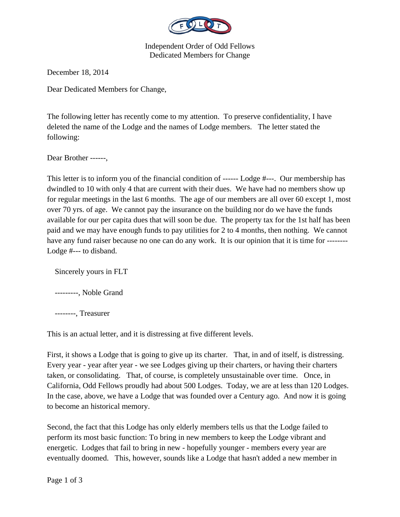

Independent Order of Odd Fellows Dedicated Members for Change

December 18, 2014

Dear Dedicated Members for Change,

The following letter has recently come to my attention. To preserve confidentiality, I have deleted the name of the Lodge and the names of Lodge members. The letter stated the following:

Dear Brother ------,

This letter is to inform you of the financial condition of ------ Lodge #---. Our membership has dwindled to 10 with only 4 that are current with their dues. We have had no members show up for regular meetings in the last 6 months. The age of our members are all over 60 except 1, most over 70 yrs. of age. We cannot pay the insurance on the building nor do we have the funds available for our per capita dues that will soon be due. The property tax for the 1st half has been paid and we may have enough funds to pay utilities for 2 to 4 months, then nothing. We cannot have any fund raiser because no one can do any work. It is our opinion that it is time for --------Lodge #--- to disband.

Sincerely yours in FLT

---------, Noble Grand

--------, Treasurer

This is an actual letter, and it is distressing at five different levels.

First, it shows a Lodge that is going to give up its charter. That, in and of itself, is distressing. Every year - year after year - we see Lodges giving up their charters, or having their charters taken, or consolidating. That, of course, is completely unsustainable over time. Once, in California, Odd Fellows proudly had about 500 Lodges. Today, we are at less than 120 Lodges. In the case, above, we have a Lodge that was founded over a Century ago. And now it is going to become an historical memory.

Second, the fact that this Lodge has only elderly members tells us that the Lodge failed to perform its most basic function: To bring in new members to keep the Lodge vibrant and energetic. Lodges that fail to bring in new - hopefully younger - members every year are eventually doomed. This, however, sounds like a Lodge that hasn't added a new member in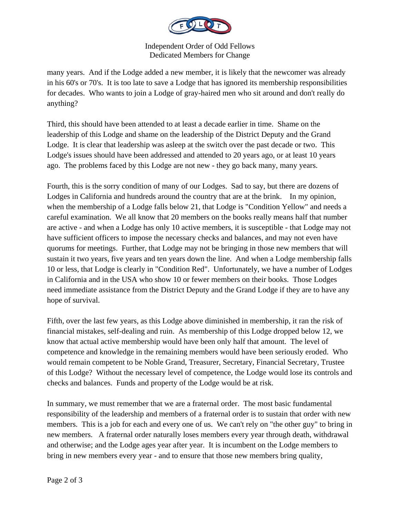

## Independent Order of Odd Fellows Dedicated Members for Change

many years. And if the Lodge added a new member, it is likely that the newcomer was already in his 60's or 70's. It is too late to save a Lodge that has ignored its membership responsibilities for decades. Who wants to join a Lodge of gray-haired men who sit around and don't really do anything?

Third, this should have been attended to at least a decade earlier in time. Shame on the leadership of this Lodge and shame on the leadership of the District Deputy and the Grand Lodge. It is clear that leadership was asleep at the switch over the past decade or two. This Lodge's issues should have been addressed and attended to 20 years ago, or at least 10 years ago. The problems faced by this Lodge are not new - they go back many, many years.

Fourth, this is the sorry condition of many of our Lodges. Sad to say, but there are dozens of Lodges in California and hundreds around the country that are at the brink. In my opinion, when the membership of a Lodge falls below 21, that Lodge is "Condition Yellow" and needs a careful examination. We all know that 20 members on the books really means half that number are active - and when a Lodge has only 10 active members, it is susceptible - that Lodge may not have sufficient officers to impose the necessary checks and balances, and may not even have quorums for meetings. Further, that Lodge may not be bringing in those new members that will sustain it two years, five years and ten years down the line. And when a Lodge membership falls 10 or less, that Lodge is clearly in "Condition Red". Unfortunately, we have a number of Lodges in California and in the USA who show 10 or fewer members on their books. Those Lodges need immediate assistance from the District Deputy and the Grand Lodge if they are to have any hope of survival.

Fifth, over the last few years, as this Lodge above diminished in membership, it ran the risk of financial mistakes, self-dealing and ruin. As membership of this Lodge dropped below 12, we know that actual active membership would have been only half that amount. The level of competence and knowledge in the remaining members would have been seriously eroded. Who would remain competent to be Noble Grand, Treasurer, Secretary, Financial Secretary, Trustee of this Lodge? Without the necessary level of competence, the Lodge would lose its controls and checks and balances. Funds and property of the Lodge would be at risk.

In summary, we must remember that we are a fraternal order. The most basic fundamental responsibility of the leadership and members of a fraternal order is to sustain that order with new members. This is a job for each and every one of us. We can't rely on "the other guy" to bring in new members. A fraternal order naturally loses members every year through death, withdrawal and otherwise; and the Lodge ages year after year. It is incumbent on the Lodge members to bring in new members every year - and to ensure that those new members bring quality,